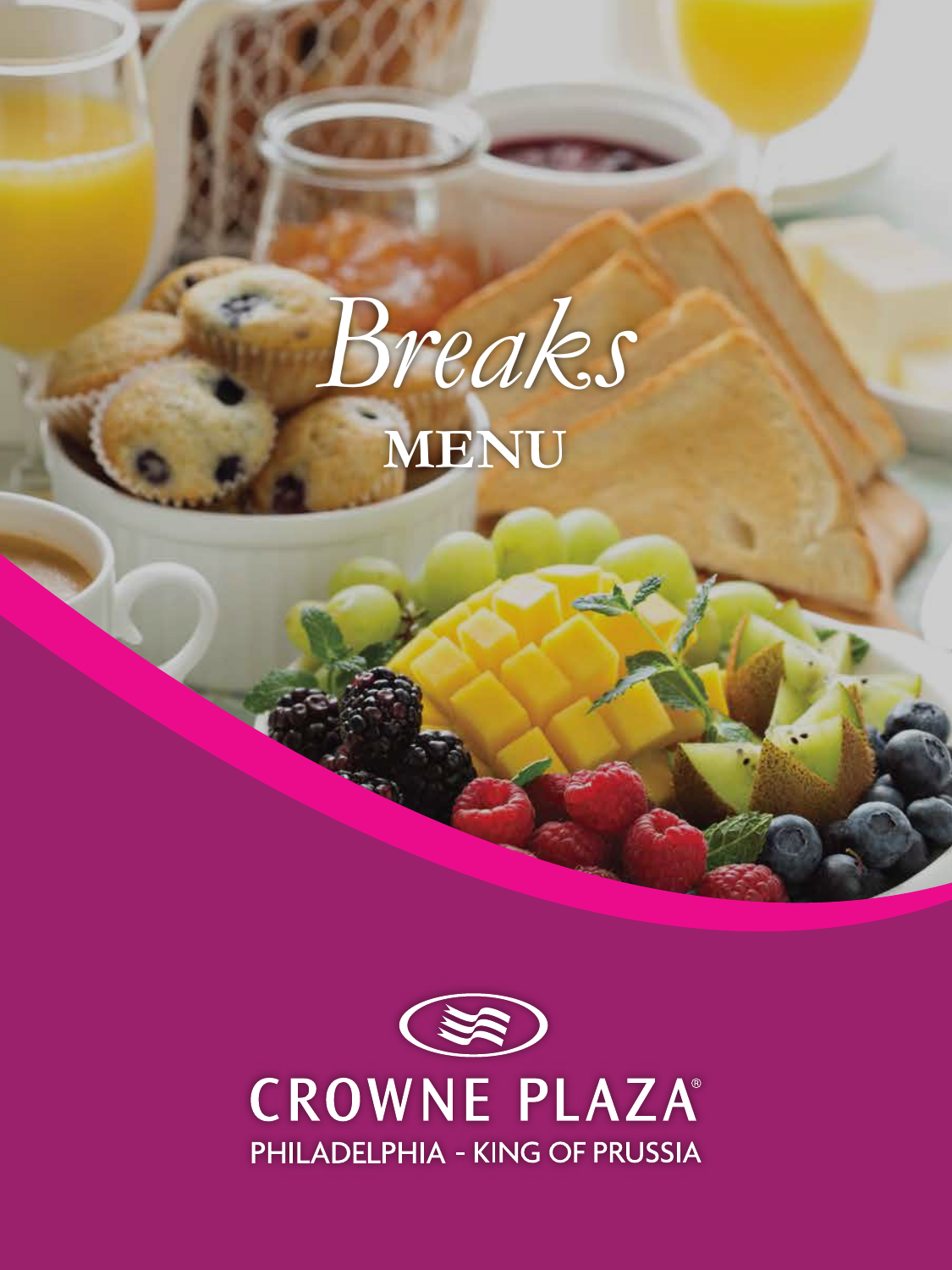

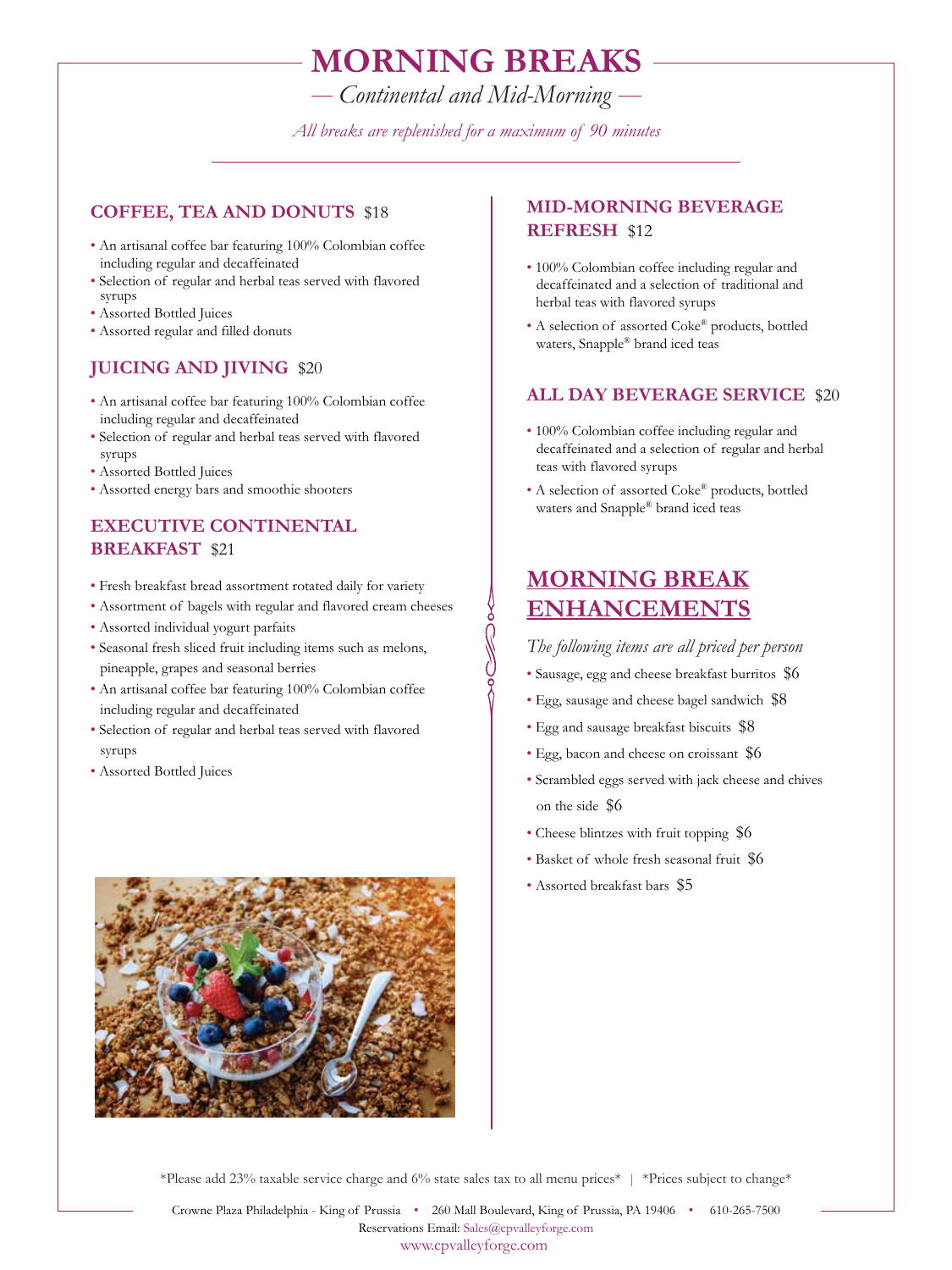## **MORNING BREAKS**

*Continental and Mid-Morning*

*All breaks are replenished for a maximum of 90 minutes*

ှိ<br>(

#### **COFFEE, TEA AND DONUTS** \$18

- An artisanal coffee bar featuring 100% Colombian coffee including regular and decaffeinated
- Selection of regular and herbal teas served with flavored syrups
- Assorted Bottled Juices
- Assorted regular and filled donuts

### **JUICING AND JIVING** \$20

- An artisanal coffee bar featuring 100% Colombian coffee including regular and decaffeinated
- Selection of regular and herbal teas served with flavored syrups
- Assorted Bottled Juices
- Assorted energy bars and smoothie shooters

### **EXECUTIVE CONTINENTAL BREAKFAST** \$21

- Fresh breakfast bread assortment rotated daily for variety
- Assortment of bagels with regular and flavored cream cheeses
- Assorted individual yogurt parfaits
- Seasonal fresh sliced fruit including items such as melons, pineapple, grapes and seasonal berries
- An artisanal coffee bar featuring 100% Colombian coffee including regular and decaffeinated
- Selection of regular and herbal teas served with flavored syrups
- Assorted Bottled Juices



### **MID-MORNING BEVERAGE REFRESH** \$12

- 100% Colombian coffee including regular and decaffeinated and a selection of traditional and herbal teas with flavored syrups
- A selection of assorted Coke® products, bottled waters, Snapple® brand iced teas

#### **ALL DAY BEVERAGE SERVICE** \$20

- 100% Colombian coffee including regular and decaffeinated and a selection of regular and herbal teas with flavored syrups
- A selection of assorted Coke® products, bottled waters and Snapple® brand iced teas

## **MORNING BREAK ENHANCEMENTS**

#### *The following items are all priced per person*

- Sausage, egg and cheese breakfast burritos \$6
- Egg, sausage and cheese bagel sandwich \$8
- Egg and sausage breakfast biscuits \$8
- Egg, bacon and cheese on croissant \$6
- Scrambled eggs served with jack cheese and chives on the side \$6
- Cheese blintzes with fruit topping \$6
- Basket of whole fresh seasonal fruit \$6
- Assorted breakfast bars \$5

\*Please add 23% taxable service charge and 6% state sales tax to all menu prices\* | \*Prices subject to change\*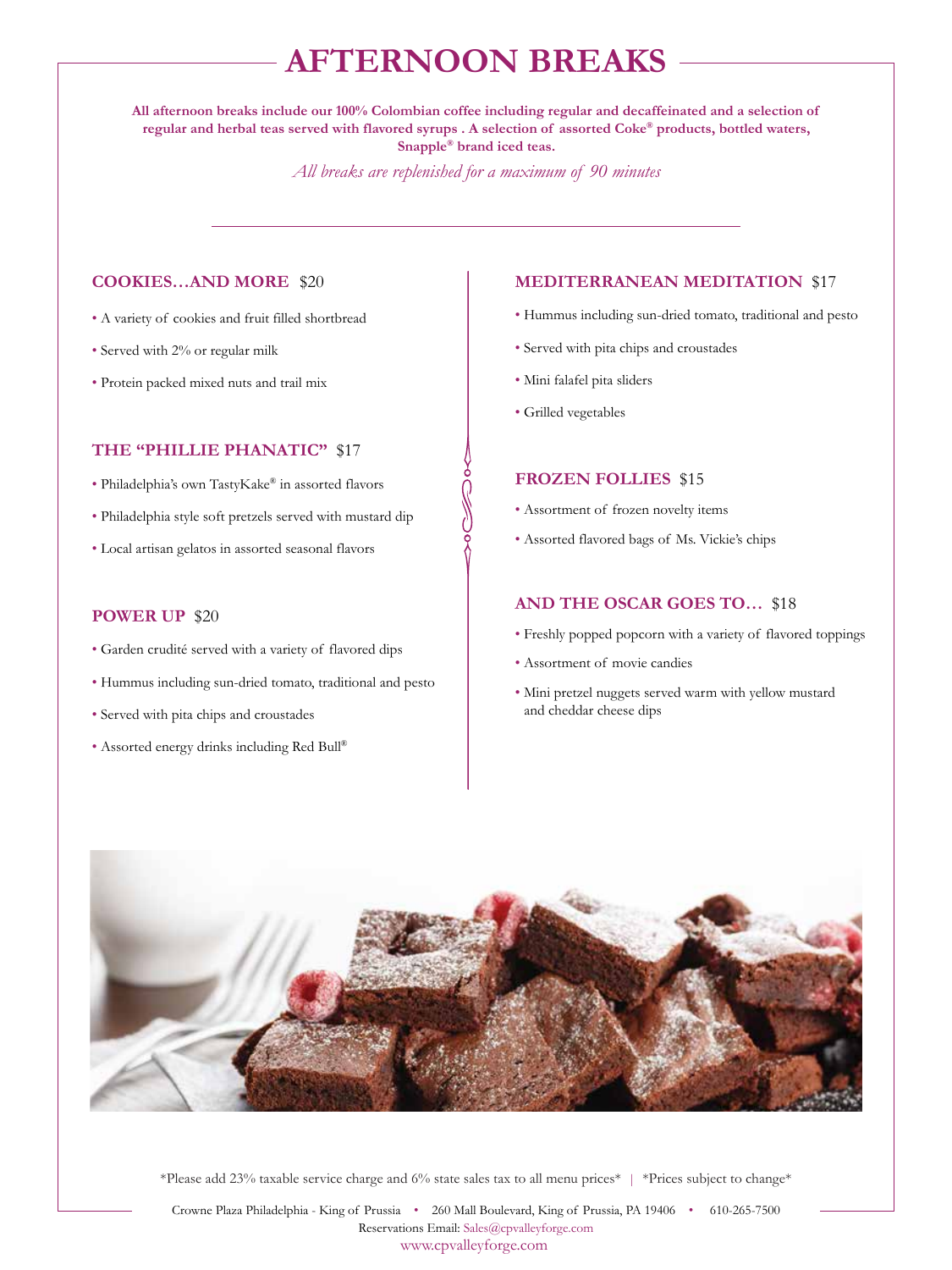# **AFTERNOON BREAKS**

**All afternoon breaks include our 100% Colombian coffee including regular and decaffeinated and a selection of regular and herbal teas served with flavored syrups . A selection of assorted Coke® products, bottled waters, Snapple® brand iced teas.**

*All breaks are replenished for a maximum of 90 minutes*

#### **COOKIES…AND MORE** \$20

- A variety of cookies and fruit filled shortbread
- Served with 2% or regular milk
- Protein packed mixed nuts and trail mix

#### **THE "PHILLIE PHANATIC"** \$17

- Philadelphia's own TastyKake® in assorted flavors
- Philadelphia style soft pretzels served with mustard dip
- Local artisan gelatos in assorted seasonal flavors

#### **POWER UP** \$20

- Garden crudité served with a variety of flavored dips
- Hummus including sun-dried tomato, traditional and pesto
- Served with pita chips and croustades
- Assorted energy drinks including Red Bull®

#### **MEDITERRANEAN MEDITATION** \$17

- Hummus including sun-dried tomato, traditional and pesto
- Served with pita chips and croustades
- Mini falafel pita sliders
- Grilled vegetables

#### **FROZEN FOLLIES** \$15

- Assortment of frozen novelty items
- Assorted flavored bags of Ms. Vickie's chips

#### **AND THE OSCAR GOES TO…** \$18

- Freshly popped popcorn with a variety of flavored toppings
- Assortment of movie candies
- Mini pretzel nuggets served warm with yellow mustard and cheddar cheese dips



\*Please add 23% taxable service charge and 6% state sales tax to all menu prices\* | \*Prices subject to change\*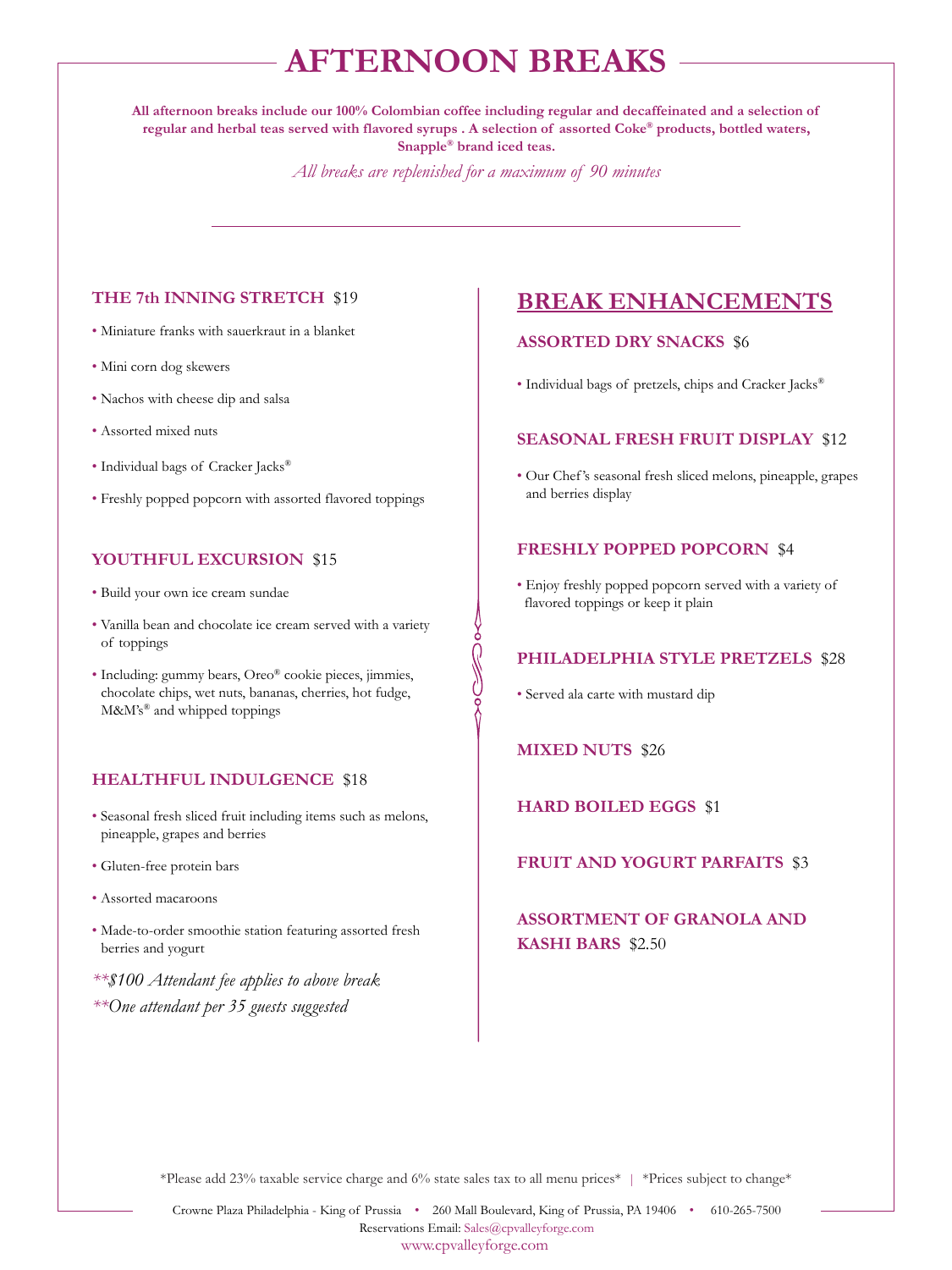# **AFTERNOON BREAKS**

**All afternoon breaks include our 100% Colombian coffee including regular and decaffeinated and a selection of regular and herbal teas served with flavored syrups . A selection of assorted Coke® products, bottled waters, Snapple® brand iced teas.**

*All breaks are replenished for a maximum of 90 minutes*

**SOC** 

#### **THE 7th INNING STRETCH** \$19

- Miniature franks with sauerkraut in a blanket
- Mini corn dog skewers
- Nachos with cheese dip and salsa
- Assorted mixed nuts
- Individual bags of Cracker Jacks®
- Freshly popped popcorn with assorted flavored toppings

#### **YOUTHFUL EXCURSION** \$15

- Build your own ice cream sundae
- Vanilla bean and chocolate ice cream served with a variety of toppings
- Including: gummy bears, Oreo® cookie pieces, jimmies, chocolate chips, wet nuts, bananas, cherries, hot fudge, M&M's<sup>®</sup> and whipped toppings

#### **HEALTHFUL INDULGENCE** \$18

- Seasonal fresh sliced fruit including items such as melons, pineapple, grapes and berries
- Gluten-free protein bars
- Assorted macaroons
- Made-to-order smoothie station featuring assorted fresh berries and yogurt
- *\*\*\$100 Attendant fee applies to above break \*\*One attendant per 35 guests suggested*

### **BREAK ENHANCEMENTS**

#### **ASSORTED DRY SNACKS** \$6

• Individual bags of pretzels, chips and Cracker Jacks®

#### **SEASONAL FRESH FRUIT DISPLAY** \$12

• Our Chef 's seasonal fresh sliced melons, pineapple, grapes and berries display

#### **FRESHLY POPPED POPCORN** \$4

• Enjoy freshly popped popcorn served with a variety of flavored toppings or keep it plain

#### **PHILADELPHIA STYLE PRETZELS** \$28

• Served ala carte with mustard dip

**MIXED NUTS** \$26

**HARD BOILED EGGS** \$1

**FRUIT AND YOGURT PARFAITS** \$3

**ASSORTMENT OF GRANOLA AND KASHI BARS** \$2.50

\*Please add 23% taxable service charge and 6% state sales tax to all menu prices\* | \*Prices subject to change\*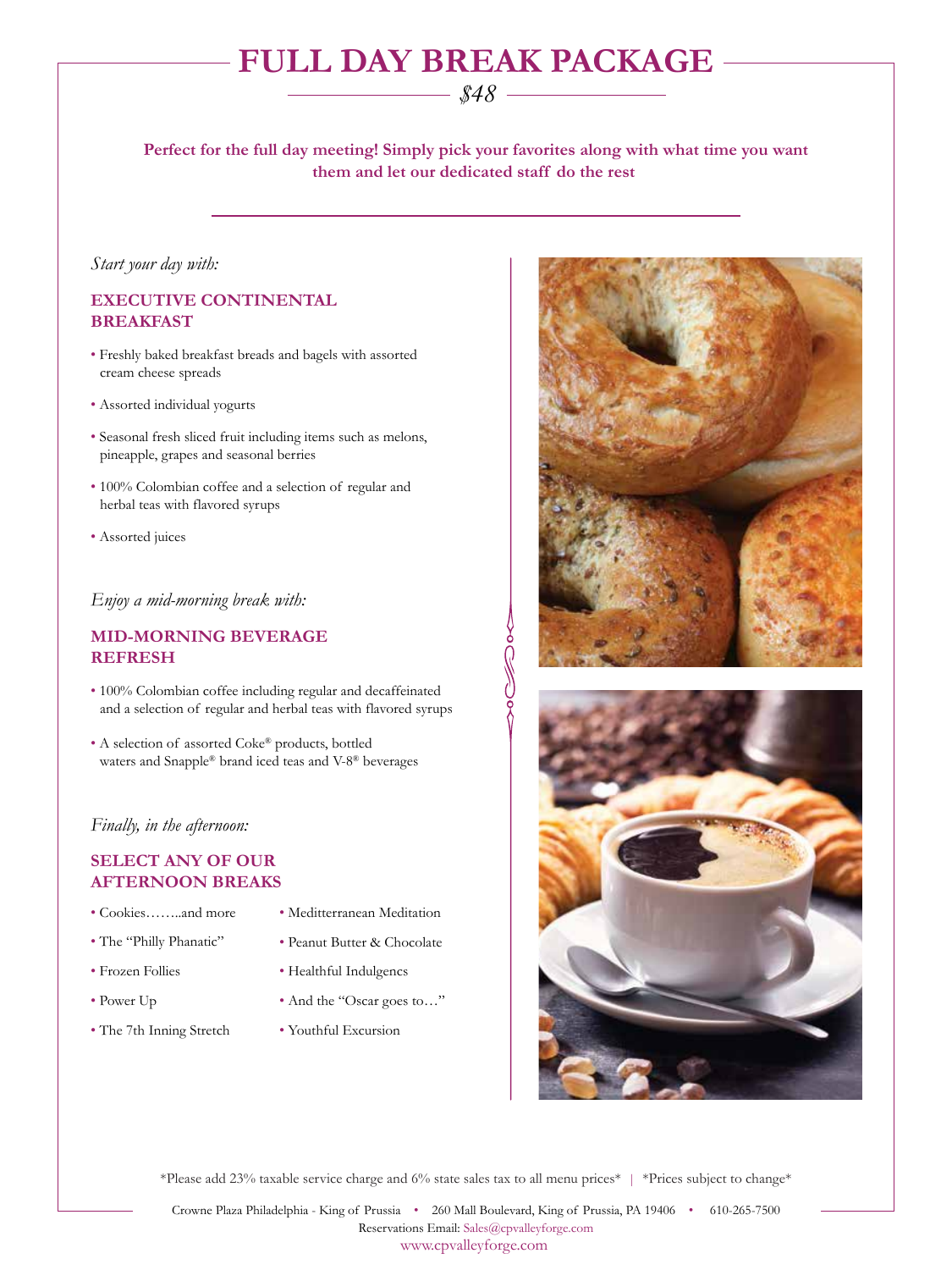# **FULL DAY BREAK PACKAGE**

### *\$48*

**Perfect for the full day meeting! Simply pick your favorites along with what time you want them and let our dedicated staff do the rest** 

 $\sqrt{\frac{2}{3}}$ 

#### *Start your day with:*

#### **EXECUTIVE CONTINENTAL BREAKFAST**

- Freshly baked breakfast breads and bagels with assorted cream cheese spreads
- Assorted individual yogurts
- Seasonal fresh sliced fruit including items such as melons, pineapple, grapes and seasonal berries
- 100% Colombian coffee and a selection of regular and herbal teas with flavored syrups
- Assorted juices

#### *Enjoy a mid-morning break with:*

#### **MID-MORNING BEVERAGE REFRESH**

- 100% Colombian coffee including regular and decaffeinated and a selection of regular and herbal teas with flavored syrups
- A selection of assorted Coke® products, bottled waters and Snapple® brand iced teas and V-8® beverages

#### *Finally, in the afternoon:*

#### **SELECT ANY OF OUR AFTERNOON BREAKS**

- Cookies……..and more
- The "Philly Phanatic"
- Frozen Follies
- Power Up
- The 7th Inning Stretch
- Meditterranean Meditation
- Peanut Butter & Chocolate
- Healthful Indulgencs
- And the "Oscar goes to…"
- Youthful Excursion





\*Please add 23% taxable service charge and 6% state sales tax to all menu prices\* | \*Prices subject to change\*